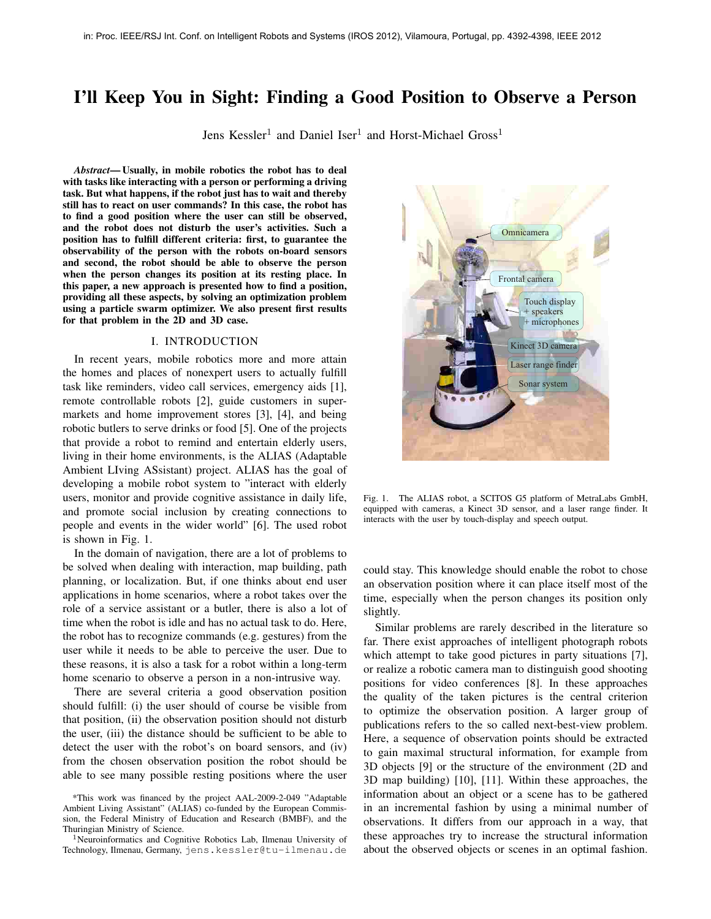# I'll Keep You in Sight: Finding a Good Position to Observe a Person

Jens Kessler<sup>1</sup> and Daniel Iser<sup>1</sup> and Horst-Michael Gross<sup>1</sup>

*Abstract*— Usually, in mobile robotics the robot has to deal with tasks like interacting with a person or performing a driving task. But what happens, if the robot just has to wait and thereby still has to react on user commands? In this case, the robot has to find a good position where the user can still be observed, and the robot does not disturb the user's activities. Such a position has to fulfill different criteria: first, to guarantee the observability of the person with the robots on-board sensors and second, the robot should be able to observe the person when the person changes its position at its resting place. In this paper, a new approach is presented how to find a position, providing all these aspects, by solving an optimization problem using a particle swarm optimizer. We also present first results for that problem in the 2D and 3D case.

#### I. INTRODUCTION

In recent years, mobile robotics more and more attain the homes and places of nonexpert users to actually fulfill task like reminders, video call services, emergency aids [1], remote controllable robots [2], guide customers in supermarkets and home improvement stores [3], [4], and being robotic butlers to serve drinks or food [5]. One of the projects that provide a robot to remind and entertain elderly users, living in their home environments, is the ALIAS (Adaptable Ambient LIving ASsistant) project. ALIAS has the goal of developing a mobile robot system to "interact with elderly users, monitor and provide cognitive assistance in daily life, and promote social inclusion by creating connections to people and events in the wider world" [6]. The used robot is shown in Fig. 1.

In the domain of navigation, there are a lot of problems to be solved when dealing with interaction, map building, path planning, or localization. But, if one thinks about end user applications in home scenarios, where a robot takes over the role of a service assistant or a butler, there is also a lot of time when the robot is idle and has no actual task to do. Here, the robot has to recognize commands (e.g. gestures) from the user while it needs to be able to perceive the user. Due to these reasons, it is also a task for a robot within a long-term home scenario to observe a person in a non-intrusive way.

There are several criteria a good observation position should fulfill: (i) the user should of course be visible from that position, (ii) the observation position should not disturb the user, (iii) the distance should be sufficient to be able to detect the user with the robot's on board sensors, and (iv) from the chosen observation position the robot should be able to see many possible resting positions where the user



Fig. 1. The ALIAS robot, a SCITOS G5 platform of MetraLabs GmbH, equipped with cameras, a Kinect 3D sensor, and a laser range finder. It interacts with the user by touch-display and speech output.

could stay. This knowledge should enable the robot to chose an observation position where it can place itself most of the time, especially when the person changes its position only slightly.

Similar problems are rarely described in the literature so far. There exist approaches of intelligent photograph robots which attempt to take good pictures in party situations [7], or realize a robotic camera man to distinguish good shooting positions for video conferences [8]. In these approaches the quality of the taken pictures is the central criterion to optimize the observation position. A larger group of publications refers to the so called next-best-view problem. Here, a sequence of observation points should be extracted to gain maximal structural information, for example from 3D objects [9] or the structure of the environment (2D and 3D map building) [10], [11]. Within these approaches, the information about an object or a scene has to be gathered in an incremental fashion by using a minimal number of observations. It differs from our approach in a way, that these approaches try to increase the structural information about the observed objects or scenes in an optimal fashion.

<sup>\*</sup>This work was financed by the project AAL-2009-2-049 "Adaptable Ambient Living Assistant" (ALIAS) co-funded by the European Commission, the Federal Ministry of Education and Research (BMBF), and the Thuringian Ministry of Science.

<sup>&</sup>lt;sup>1</sup>Neuroinformatics and Cognitive Robotics Lab, Ilmenau University of Technology, Ilmenau, Germany, jens.kessler@tu-ilmenau.de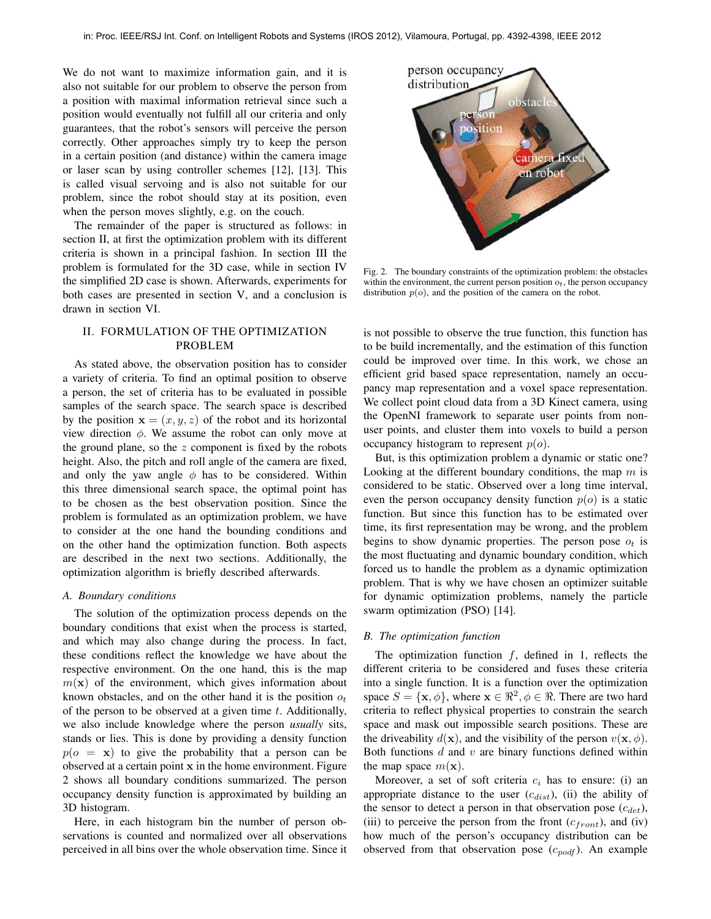We do not want to maximize information gain, and it is also not suitable for our problem to observe the person from a position with maximal information retrieval since such a position would eventually not fulfill all our criteria and only guarantees, that the robot's sensors will perceive the person correctly. Other approaches simply try to keep the person in a certain position (and distance) within the camera image or laser scan by using controller schemes [12], [13]. This is called visual servoing and is also not suitable for our problem, since the robot should stay at its position, even when the person moves slightly, e.g. on the couch.

The remainder of the paper is structured as follows: in section II, at first the optimization problem with its different criteria is shown in a principal fashion. In section III the problem is formulated for the 3D case, while in section IV the simplified 2D case is shown. Afterwards, experiments for both cases are presented in section V, and a conclusion is drawn in section VI.

## II. FORMULATION OF THE OPTIMIZATION PROBLEM

As stated above, the observation position has to consider a variety of criteria. To find an optimal position to observe a person, the set of criteria has to be evaluated in possible samples of the search space. The search space is described by the position  $\mathbf{x} = (x, y, z)$  of the robot and its horizontal view direction  $\phi$ . We assume the robot can only move at the ground plane, so the  $z$  component is fixed by the robots height. Also, the pitch and roll angle of the camera are fixed, and only the yaw angle  $\phi$  has to be considered. Within this three dimensional search space, the optimal point has to be chosen as the best observation position. Since the problem is formulated as an optimization problem, we have to consider at the one hand the bounding conditions and on the other hand the optimization function. Both aspects are described in the next two sections. Additionally, the optimization algorithm is briefly described afterwards.

#### *A. Boundary conditions*

The solution of the optimization process depends on the boundary conditions that exist when the process is started, and which may also change during the process. In fact, these conditions reflect the knowledge we have about the respective environment. On the one hand, this is the map  $m(\mathbf{x})$  of the environment, which gives information about known obstacles, and on the other hand it is the position  $o_t$ of the person to be observed at a given time  $t$ . Additionally, we also include knowledge where the person *usually* sits, stands or lies. This is done by providing a density function  $p(o = x)$  to give the probability that a person can be observed at a certain point x in the home environment. Figure 2 shows all boundary conditions summarized. The person occupancy density function is approximated by building an 3D histogram.

Here, in each histogram bin the number of person observations is counted and normalized over all observations perceived in all bins over the whole observation time. Since it



Fig. 2. The boundary constraints of the optimization problem: the obstacles within the environment, the current person position  $o_t$ , the person occupancy distribution  $p(o)$ , and the position of the camera on the robot.

is not possible to observe the true function, this function has to be build incrementally, and the estimation of this function could be improved over time. In this work, we chose an efficient grid based space representation, namely an occupancy map representation and a voxel space representation. We collect point cloud data from a 3D Kinect camera, using the OpenNI framework to separate user points from nonuser points, and cluster them into voxels to build a person occupancy histogram to represent  $p(o)$ .

But, is this optimization problem a dynamic or static one? Looking at the different boundary conditions, the map  $m$  is considered to be static. Observed over a long time interval, even the person occupancy density function  $p(o)$  is a static function. But since this function has to be estimated over time, its first representation may be wrong, and the problem begins to show dynamic properties. The person pose  $o_t$  is the most fluctuating and dynamic boundary condition, which forced us to handle the problem as a dynamic optimization problem. That is why we have chosen an optimizer suitable for dynamic optimization problems, namely the particle swarm optimization (PSO) [14].

#### *B. The optimization function*

The optimization function  $f$ , defined in 1, reflects the different criteria to be considered and fuses these criteria into a single function. It is a function over the optimization space  $S = {\mathbf{x}, \phi}$ , where  $\mathbf{x} \in \mathbb{R}^2, \phi \in \mathbb{R}$ . There are two hard criteria to reflect physical properties to constrain the search space and mask out impossible search positions. These are the driveability  $d(\mathbf{x})$ , and the visibility of the person  $v(\mathbf{x}, \phi)$ . Both functions  $d$  and  $v$  are binary functions defined within the map space  $m(\mathbf{x})$ .

Moreover, a set of soft criteria  $c_i$  has to ensure: (i) an appropriate distance to the user  $(c_{dist})$ , (ii) the ability of the sensor to detect a person in that observation pose  $(c_{det})$ , (iii) to perceive the person from the front  $(c_{front})$ , and (iv) how much of the person's occupancy distribution can be observed from that observation pose  $(c_{podf})$ . An example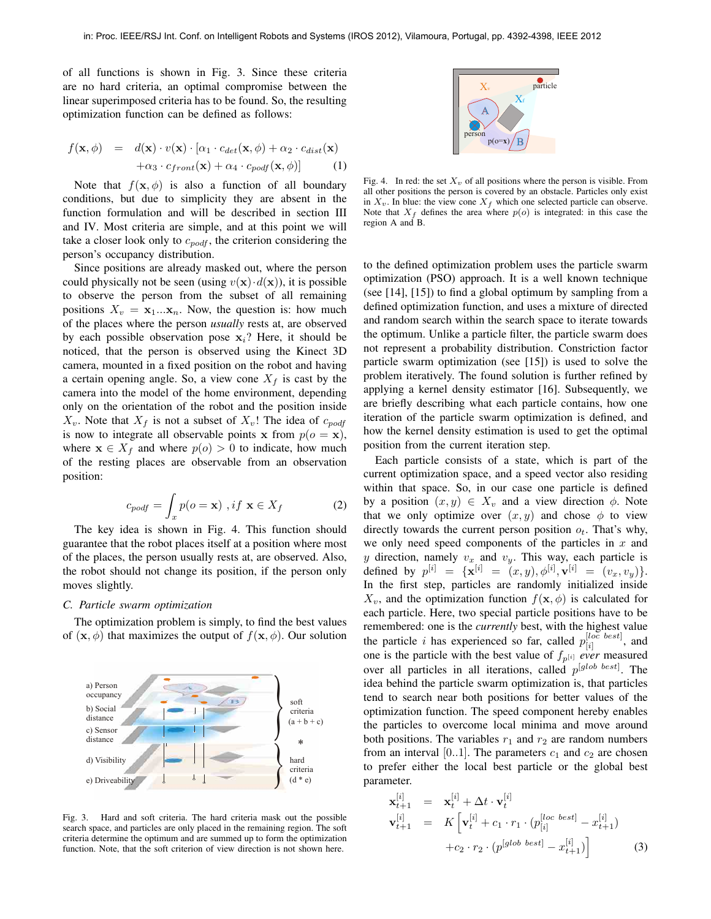of all functions is shown in Fig. 3. Since these criteria are no hard criteria, an optimal compromise between the linear superimposed criteria has to be found. So, the resulting optimization function can be defined as follows:

$$
f(\mathbf{x}, \phi) = d(\mathbf{x}) \cdot v(\mathbf{x}) \cdot [\alpha_1 \cdot c_{det}(\mathbf{x}, \phi) + \alpha_2 \cdot c_{dist}(\mathbf{x})
$$

$$
+ \alpha_3 \cdot c_{front}(\mathbf{x}) + \alpha_4 \cdot c_{podf}(\mathbf{x}, \phi)] \tag{1}
$$

Note that  $f(\mathbf{x}, \phi)$  is also a function of all boundary conditions, but due to simplicity they are absent in the function formulation and will be described in section III and IV. Most criteria are simple, and at this point we will take a closer look only to  $c_{podf}$ , the criterion considering the person's occupancy distribution.

Since positions are already masked out, where the person could physically not be seen (using  $v(\mathbf{x}) \cdot d(\mathbf{x})$ ), it is possible to observe the person from the subset of all remaining positions  $X_v = \mathbf{x}_1...\mathbf{x}_n$ . Now, the question is: how much of the places where the person *usually* rests at, are observed by each possible observation pose  $x_i$ ? Here, it should be noticed, that the person is observed using the Kinect 3D camera, mounted in a fixed position on the robot and having a certain opening angle. So, a view cone  $X_f$  is cast by the camera into the model of the home environment, depending only on the orientation of the robot and the position inside  $X_v$ . Note that  $X_f$  is not a subset of  $X_v$ ! The idea of  $c_{podf}$ is now to integrate all observable points x from  $p(o = x)$ , where  $x \in X_f$  and where  $p(o) > 0$  to indicate, how much of the resting places are observable from an observation position:

$$
c_{podf} = \int_{x} p(o = \mathbf{x}) \, , if \, \mathbf{x} \in X_f \tag{2}
$$

The key idea is shown in Fig. 4. This function should guarantee that the robot places itself at a position where most of the places, the person usually rests at, are observed. Also, the robot should not change its position, if the person only moves slightly.

### *C. Particle swarm optimization*

The optimization problem is simply, to find the best values of  $(\mathbf{x}, \phi)$  that maximizes the output of  $f(\mathbf{x}, \phi)$ . Our solution



Fig. 3. Hard and soft criteria. The hard criteria mask out the possible search space, and particles are only placed in the remaining region. The soft criteria determine the optimum and are summed up to form the optimization function. Note, that the soft criterion of view direction is not shown here.



Fig. 4. In red: the set  $X<sub>v</sub>$  of all positions where the person is visible. From all other positions the person is covered by an obstacle. Particles only exist in  $X_v$ . In blue: the view cone  $X_f$  which one selected particle can observe. Note that  $X_f$  defines the area where  $p(o)$  is integrated: in this case the region A and B.

to the defined optimization problem uses the particle swarm optimization (PSO) approach. It is a well known technique (see [14], [15]) to find a global optimum by sampling from a defined optimization function, and uses a mixture of directed and random search within the search space to iterate towards the optimum. Unlike a particle filter, the particle swarm does not represent a probability distribution. Constriction factor particle swarm optimization (see [15]) is used to solve the problem iteratively. The found solution is further refined by applying a kernel density estimator [16]. Subsequently, we are briefly describing what each particle contains, how one iteration of the particle swarm optimization is defined, and how the kernel density estimation is used to get the optimal position from the current iteration step.

Each particle consists of a state, which is part of the current optimization space, and a speed vector also residing within that space. So, in our case one particle is defined by a position  $(x, y) \in X_v$  and a view direction  $\phi$ . Note that we only optimize over  $(x, y)$  and chose  $\phi$  to view directly towards the current person position  $o_t$ . That's why, we only need speed components of the particles in  $x$  and y direction, namely  $v_x$  and  $v_y$ . This way, each particle is defined by  $p^{[i]} = {\mathbf{x}^{[i]} = (x, y), \phi^{[i]}, \mathbf{v}^{[i]} = (v_x, v_y)}$ . In the first step, particles are randomly initialized inside  $X_v$ , and the optimization function  $f(\mathbf{x}, \phi)$  is calculated for each particle. Here, two special particle positions have to be remembered: one is the *currently* best, with the highest value the particle i has experienced so far, called  $p_{[i]}^{[loc\ best]}$  $\begin{bmatrix} \mu_{OC} & \nu_{ES} & 1 \\ \hline \end{bmatrix}$ , and one is the particle with the best value of  $f_{p^{[i]}}$  *ever* measured over all particles in all iterations, called  $p^{[glob \, best]}$ . The idea behind the particle swarm optimization is, that particles tend to search near both positions for better values of the optimization function. The speed component hereby enables the particles to overcome local minima and move around both positions. The variables  $r_1$  and  $r_2$  are random numbers from an interval [0..1]. The parameters  $c_1$  and  $c_2$  are chosen to prefer either the local best particle or the global best parameter.

$$
\mathbf{x}_{t+1}^{[i]} = \mathbf{x}_t^{[i]} + \Delta t \cdot \mathbf{v}_t^{[i]}
$$
\n
$$
\mathbf{v}_{t+1}^{[i]} = K \left[ \mathbf{v}_t^{[i]} + c_1 \cdot r_1 \cdot (p_{[i]}^{[loc \text{ best}]} - x_{t+1}^{[i]}) + c_2 \cdot r_2 \cdot (p_{[i]}^{[glob \text{ best}]} - x_{t+1}^{[i]}) \right]
$$
\n(3)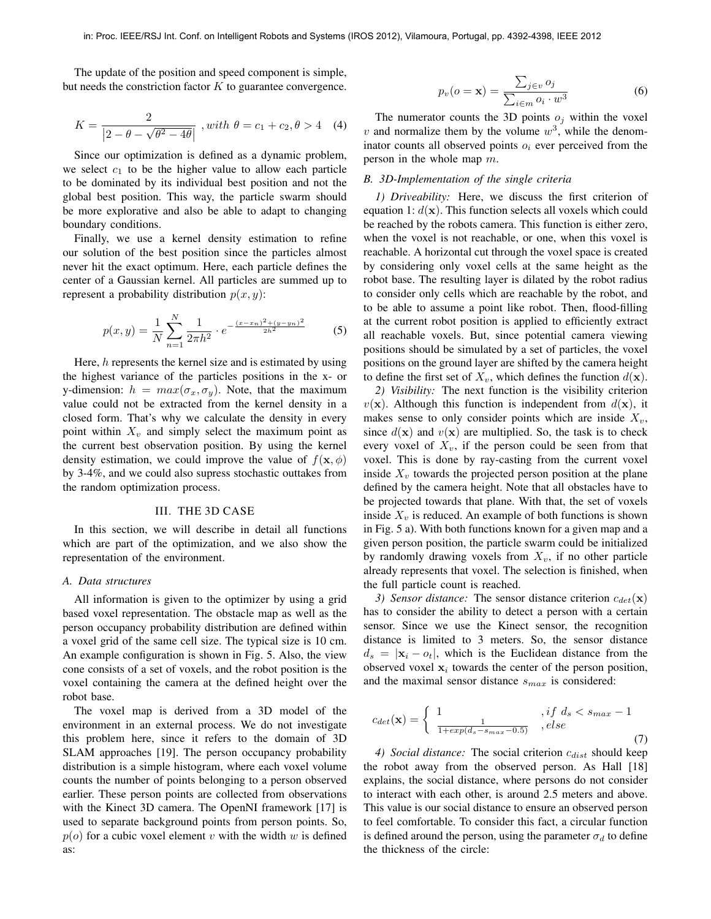The update of the position and speed component is simple, but needs the constriction factor  $K$  to guarantee convergence.

$$
K = \frac{2}{|2 - \theta - \sqrt{\theta^2 - 4\theta}|}, with \ \theta = c_1 + c_2, \theta > 4 \quad (4)
$$

Since our optimization is defined as a dynamic problem, we select  $c_1$  to be the higher value to allow each particle to be dominated by its individual best position and not the global best position. This way, the particle swarm should be more explorative and also be able to adapt to changing boundary conditions.

Finally, we use a kernel density estimation to refine our solution of the best position since the particles almost never hit the exact optimum. Here, each particle defines the center of a Gaussian kernel. All particles are summed up to represent a probability distribution  $p(x, y)$ :

$$
p(x,y) = \frac{1}{N} \sum_{n=1}^{N} \frac{1}{2\pi h^2} \cdot e^{-\frac{(x-x_n)^2 + (y-y_n)^2}{2h^2}}
$$
(5)

Here,  $h$  represents the kernel size and is estimated by using the highest variance of the particles positions in the x- or y-dimension:  $h = max(\sigma_x, \sigma_y)$ . Note, that the maximum value could not be extracted from the kernel density in a closed form. That's why we calculate the density in every point within  $X_v$  and simply select the maximum point as the current best observation position. By using the kernel density estimation, we could improve the value of  $f(\mathbf{x}, \phi)$ by 3-4%, and we could also supress stochastic outtakes from the random optimization process.

## III. THE 3D CASE

In this section, we will describe in detail all functions which are part of the optimization, and we also show the representation of the environment.

#### *A. Data structures*

All information is given to the optimizer by using a grid based voxel representation. The obstacle map as well as the person occupancy probability distribution are defined within a voxel grid of the same cell size. The typical size is 10 cm. An example configuration is shown in Fig. 5. Also, the view cone consists of a set of voxels, and the robot position is the voxel containing the camera at the defined height over the robot base.

The voxel map is derived from a 3D model of the environment in an external process. We do not investigate this problem here, since it refers to the domain of 3D SLAM approaches [19]. The person occupancy probability distribution is a simple histogram, where each voxel volume counts the number of points belonging to a person observed earlier. These person points are collected from observations with the Kinect 3D camera. The OpenNI framework [17] is used to separate background points from person points. So,  $p(o)$  for a cubic voxel element v with the width w is defined as:

$$
p_v(o = \mathbf{x}) = \frac{\sum_{j \in v} o_j}{\sum_{i \in m} o_i \cdot w^3}
$$
 (6)

The numerator counts the 3D points  $o_j$  within the voxel v and normalize them by the volume  $w^3$ , while the denominator counts all observed points  $o_i$  ever perceived from the person in the whole map  $m$ .

#### *B. 3D-Implementation of the single criteria*

*1) Driveability:* Here, we discuss the first criterion of equation 1:  $d(\mathbf{x})$ . This function selects all voxels which could be reached by the robots camera. This function is either zero, when the voxel is not reachable, or one, when this voxel is reachable. A horizontal cut through the voxel space is created by considering only voxel cells at the same height as the robot base. The resulting layer is dilated by the robot radius to consider only cells which are reachable by the robot, and to be able to assume a point like robot. Then, flood-filling at the current robot position is applied to efficiently extract all reachable voxels. But, since potential camera viewing positions should be simulated by a set of particles, the voxel positions on the ground layer are shifted by the camera height to define the first set of  $X_v$ , which defines the function  $d(\mathbf{x})$ .

*2) Visibility:* The next function is the visibility criterion  $v(\mathbf{x})$ . Although this function is independent from  $d(\mathbf{x})$ , it makes sense to only consider points which are inside  $X_v$ , since  $d(\mathbf{x})$  and  $v(\mathbf{x})$  are multiplied. So, the task is to check every voxel of  $X_v$ , if the person could be seen from that voxel. This is done by ray-casting from the current voxel inside  $X<sub>v</sub>$  towards the projected person position at the plane defined by the camera height. Note that all obstacles have to be projected towards that plane. With that, the set of voxels inside  $X_v$  is reduced. An example of both functions is shown in Fig. 5 a). With both functions known for a given map and a given person position, the particle swarm could be initialized by randomly drawing voxels from  $X<sub>v</sub>$ , if no other particle already represents that voxel. The selection is finished, when the full particle count is reached.

*3) Sensor distance:* The sensor distance criterion  $c_{det}(\mathbf{x})$ has to consider the ability to detect a person with a certain sensor. Since we use the Kinect sensor, the recognition distance is limited to 3 meters. So, the sensor distance  $d_s = |\mathbf{x}_i - o_t|$ , which is the Euclidean distance from the observed voxel  $x_i$  towards the center of the person position, and the maximal sensor distance  $s_{max}$  is considered:

$$
c_{det}(\mathbf{x}) = \begin{cases} 1 & , if \ d_s < s_{max} - 1 \\ \frac{1}{1 + exp(d_s - s_{max} - 0.5)} & , else \end{cases} \tag{7}
$$

*4) Social distance:* The social criterion  $c_{dist}$  should keep the robot away from the observed person. As Hall [18] explains, the social distance, where persons do not consider to interact with each other, is around 2.5 meters and above. This value is our social distance to ensure an observed person to feel comfortable. To consider this fact, a circular function is defined around the person, using the parameter  $\sigma_d$  to define the thickness of the circle: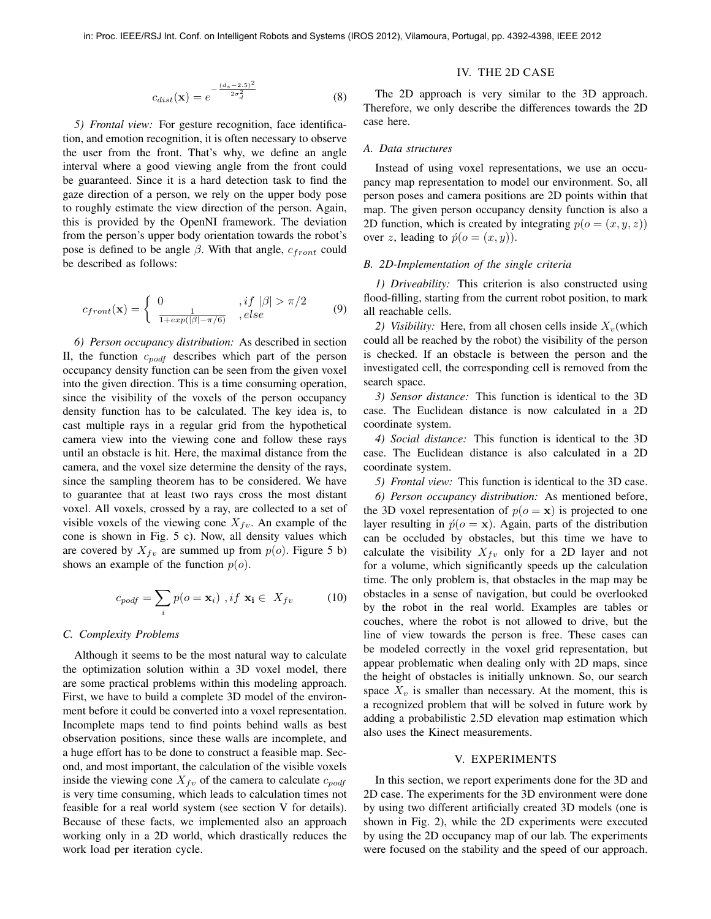$$
c_{dist}(\mathbf{x}) = e^{-\frac{(ds - 2.5)^2}{2\sigma_d^2}}
$$
(8)

*5) Frontal view:* For gesture recognition, face identification, and emotion recognition, it is often necessary to observe the user from the front. That's why, we define an angle interval where a good viewing angle from the front could be guaranteed. Since it is a hard detection task to find the gaze direction of a person, we rely on the upper body pose to roughly estimate the view direction of the person. Again, this is provided by the OpenNI framework. The deviation from the person's upper body orientation towards the robot's pose is defined to be angle  $\beta$ . With that angle,  $c_{front}$  could be described as follows:

$$
c_{front}(\mathbf{x}) = \begin{cases} 0 & , if \ |\beta| > \pi/2 \\ \frac{1}{1 + exp(|\beta| - \pi/6)} & , else \end{cases}
$$
(9)

*6) Person occupancy distribution:* As described in section II, the function  $c_{p\text{od}f}$  describes which part of the person occupancy density function can be seen from the given voxel into the given direction. This is a time consuming operation, since the visibility of the voxels of the person occupancy density function has to be calculated. The key idea is, to cast multiple rays in a regular grid from the hypothetical camera view into the viewing cone and follow these rays until an obstacle is hit. Here, the maximal distance from the camera, and the voxel size determine the density of the rays, since the sampling theorem has to be considered. We have to guarantee that at least two rays cross the most distant voxel. All voxels, crossed by a ray, are collected to a set of visible voxels of the viewing cone  $X_{fv}$ . An example of the cone is shown in Fig. 5 c). Now, all density values which are covered by  $X_{fv}$  are summed up from  $p(o)$ . Figure 5 b) shows an example of the function  $p(o)$ .

$$
c_{podf} = \sum_{i} p(o = \mathbf{x}_i) , if \mathbf{x}_i \in X_{fv}
$$
 (10)

#### *C. Complexity Problems*

Although it seems to be the most natural way to calculate the optimization solution within a 3D voxel model, there are some practical problems within this modeling approach. First, we have to build a complete 3D model of the environment before it could be converted into a voxel representation. Incomplete maps tend to find points behind walls as best observation positions, since these walls are incomplete, and a huge effort has to be done to construct a feasible map. Second, and most important, the calculation of the visible voxels inside the viewing cone  $X_{fv}$  of the camera to calculate  $c_{podf}$ is very time consuming, which leads to calculation times not feasible for a real world system (see section V for details). Because of these facts, we implemented also an approach working only in a 2D world, which drastically reduces the work load per iteration cycle.

## IV. THE 2D CASE

The 2D approach is very similar to the 3D approach. Therefore, we only describe the differences towards the 2D case here.

#### *A. Data structures*

Instead of using voxel representations, we use an occupancy map representation to model our environment. So, all person poses and camera positions are 2D points within that map. The given person occupancy density function is also a 2D function, which is created by integrating  $p(o = (x, y, z))$ over z, leading to  $\acute{p}(o = (x, y))$ .

#### *B. 2D-Implementation of the single criteria*

*1) Driveability:* This criterion is also constructed using flood-filling, starting from the current robot position, to mark all reachable cells.

2) Visibility: Here, from all chosen cells inside  $X_v$  (which could all be reached by the robot) the visibility of the person is checked. If an obstacle is between the person and the investigated cell, the corresponding cell is removed from the search space.

*3) Sensor distance:* This function is identical to the 3D case. The Euclidean distance is now calculated in a 2D coordinate system.

*4) Social distance:* This function is identical to the 3D case. The Euclidean distance is also calculated in a 2D coordinate system.

*5) Frontal view:* This function is identical to the 3D case.

*6) Person occupancy distribution:* As mentioned before, the 3D voxel representation of  $p(o = x)$  is projected to one layer resulting in  $\hat{p}(o = x)$ . Again, parts of the distribution can be occluded by obstacles, but this time we have to calculate the visibility  $X_{fv}$  only for a 2D layer and not for a volume, which significantly speeds up the calculation time. The only problem is, that obstacles in the map may be obstacles in a sense of navigation, but could be overlooked by the robot in the real world. Examples are tables or couches, where the robot is not allowed to drive, but the line of view towards the person is free. These cases can be modeled correctly in the voxel grid representation, but appear problematic when dealing only with 2D maps, since the height of obstacles is initially unknown. So, our search space  $X_v$  is smaller than necessary. At the moment, this is a recognized problem that will be solved in future work by adding a probabilistic 2.5D elevation map estimation which also uses the Kinect measurements.

### V. EXPERIMENTS

In this section, we report experiments done for the 3D and 2D case. The experiments for the 3D environment were done by using two different artificially created 3D models (one is shown in Fig. 2), while the 2D experiments were executed by using the 2D occupancy map of our lab. The experiments were focused on the stability and the speed of our approach.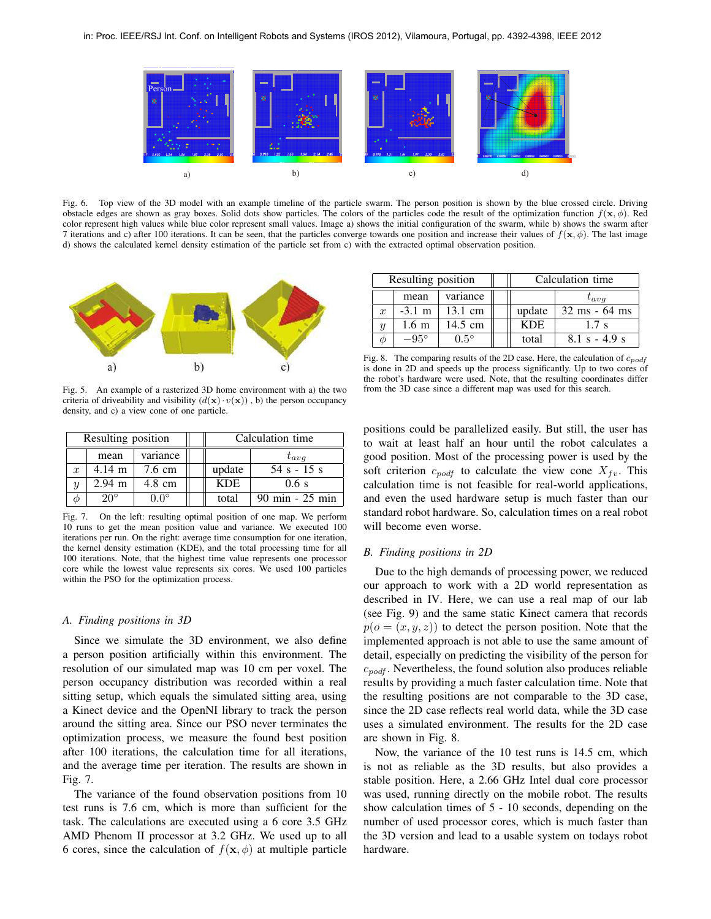

Fig. 6. Top view of the 3D model with an example timeline of the particle swarm. The person position is shown by the blue crossed circle. Driving obstacle edges are shown as gray boxes. Solid dots show particles. The colors of the particles code the result of the optimization function  $f(\mathbf{x}, \phi)$ . Red color represent high values while blue color represent small values. Image a) shows the initial configuration of the swarm, while b) shows the swarm after 7 iterations and c) after 100 iterations. It can be seen, that the particles converge towards one position and increase their values of  $f(\mathbf{x}, \phi)$ . The last image d) shows the calculated kernel density estimation of the particle set from c) with the extracted optimal observation position.



Fig. 5. An example of a rasterized 3D home environment with a) the two criteria of driveability and visibility  $(d(\mathbf{x}) \cdot v(\mathbf{x}))$ , b) the person occupancy density, and c) a view cone of one particle.

| Resulting position |                    |                  | Calculation time |                                   |
|--------------------|--------------------|------------------|------------------|-----------------------------------|
|                    | mean               | variance         |                  | $t_{avg}$                         |
| $\boldsymbol{x}$   | $4.14 \; \text{m}$ | $7.6 \text{ cm}$ | update           | $54 s - 15 s$                     |
|                    | $2.94 \text{ m}$   | $4.8 \text{ cm}$ | <b>KDE</b>       | $0.6$ s                           |
|                    | $20^\circ$         | 0 <sup>o</sup>   | total            | $90 \text{ min} - 25 \text{ min}$ |

Fig. 7. On the left: resulting optimal position of one map. We perform 10 runs to get the mean position value and variance. We executed 100 iterations per run. On the right: average time consumption for one iteration, the kernel density estimation (KDE), and the total processing time for all 100 iterations. Note, that the highest time value represents one processor core while the lowest value represents six cores. We used 100 particles within the PSO for the optimization process.

#### *A. Finding positions in 3D*

Since we simulate the 3D environment, we also define a person position artificially within this environment. The resolution of our simulated map was 10 cm per voxel. The person occupancy distribution was recorded within a real sitting setup, which equals the simulated sitting area, using a Kinect device and the OpenNI library to track the person around the sitting area. Since our PSO never terminates the optimization process, we measure the found best position after 100 iterations, the calculation time for all iterations, and the average time per iteration. The results are shown in Fig. 7.

The variance of the found observation positions from 10 test runs is 7.6 cm, which is more than sufficient for the task. The calculations are executed using a 6 core 3.5 GHz AMD Phenom II processor at 3.2 GHz. We used up to all 6 cores, since the calculation of  $f(\mathbf{x}, \phi)$  at multiple particle

| Resulting position |                      |                   | Calculation time |                  |
|--------------------|----------------------|-------------------|------------------|------------------|
|                    | mean                 | variance          |                  | $t_{ava}$        |
| $\boldsymbol{x}$   | $-3.1 \; \mathrm{m}$ | $13.1 \text{ cm}$ | update           | $32$ ms - 64 ms  |
| Y                  | $1.6 \text{ m}$      | 14.5 cm           | <b>KDE</b>       | $1.7 \mathrm{s}$ |
| Ф                  | $-95^\circ$          | $0.5^\circ$       | total            | $8.1 s - 4.9 s$  |

Fig. 8. The comparing results of the 2D case. Here, the calculation of  $c_{podf}$ is done in 2D and speeds up the process significantly. Up to two cores of the robot's hardware were used. Note, that the resulting coordinates differ from the 3D case since a different map was used for this search.

positions could be parallelized easily. But still, the user has to wait at least half an hour until the robot calculates a good position. Most of the processing power is used by the soft criterion  $c_{podf}$  to calculate the view cone  $X_{fv}$ . This calculation time is not feasible for real-world applications, and even the used hardware setup is much faster than our standard robot hardware. So, calculation times on a real robot will become even worse.

#### *B. Finding positions in 2D*

Due to the high demands of processing power, we reduced our approach to work with a 2D world representation as described in IV. Here, we can use a real map of our lab (see Fig. 9) and the same static Kinect camera that records  $p(o = (x, y, z))$  to detect the person position. Note that the implemented approach is not able to use the same amount of detail, especially on predicting the visibility of the person for  $c_{podf}$ . Nevertheless, the found solution also produces reliable results by providing a much faster calculation time. Note that the resulting positions are not comparable to the 3D case, since the 2D case reflects real world data, while the 3D case uses a simulated environment. The results for the 2D case are shown in Fig. 8.

Now, the variance of the 10 test runs is 14.5 cm, which is not as reliable as the 3D results, but also provides a stable position. Here, a 2.66 GHz Intel dual core processor was used, running directly on the mobile robot. The results show calculation times of 5 - 10 seconds, depending on the number of used processor cores, which is much faster than the 3D version and lead to a usable system on todays robot hardware.